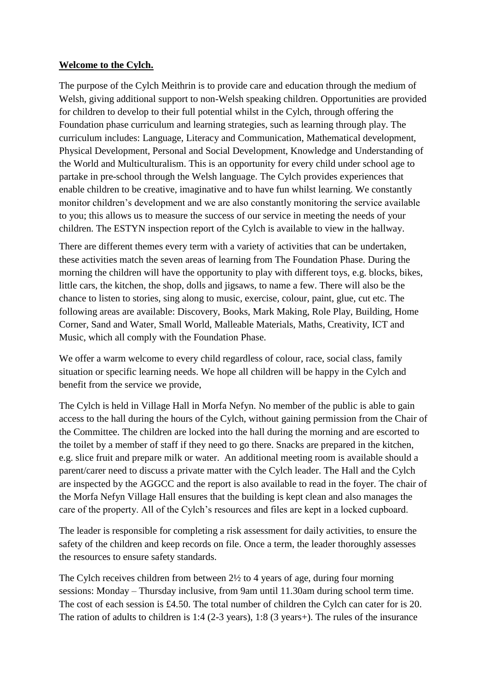## **Welcome to the Cylch.**

The purpose of the Cylch Meithrin is to provide care and education through the medium of Welsh, giving additional support to non-Welsh speaking children. Opportunities are provided for children to develop to their full potential whilst in the Cylch, through offering the Foundation phase curriculum and learning strategies, such as learning through play. The curriculum includes: Language, Literacy and Communication, Mathematical development, Physical Development, Personal and Social Development, Knowledge and Understanding of the World and Multiculturalism. This is an opportunity for every child under school age to partake in pre-school through the Welsh language. The Cylch provides experiences that enable children to be creative, imaginative and to have fun whilst learning. We constantly monitor children's development and we are also constantly monitoring the service available to you; this allows us to measure the success of our service in meeting the needs of your children. The ESTYN inspection report of the Cylch is available to view in the hallway.

There are different themes every term with a variety of activities that can be undertaken, these activities match the seven areas of learning from The Foundation Phase. During the morning the children will have the opportunity to play with different toys, e.g. blocks, bikes, little cars, the kitchen, the shop, dolls and jigsaws, to name a few. There will also be the chance to listen to stories, sing along to music, exercise, colour, paint, glue, cut etc. The following areas are available: Discovery, Books, Mark Making, Role Play, Building, Home Corner, Sand and Water, Small World, Malleable Materials, Maths, Creativity, ICT and Music, which all comply with the Foundation Phase.

We offer a warm welcome to every child regardless of colour, race, social class, family situation or specific learning needs. We hope all children will be happy in the Cylch and benefit from the service we provide,

The Cylch is held in Village Hall in Morfa Nefyn. No member of the public is able to gain access to the hall during the hours of the Cylch, without gaining permission from the Chair of the Committee. The children are locked into the hall during the morning and are escorted to the toilet by a member of staff if they need to go there. Snacks are prepared in the kitchen, e.g. slice fruit and prepare milk or water. An additional meeting room is available should a parent/carer need to discuss a private matter with the Cylch leader. The Hall and the Cylch are inspected by the AGGCC and the report is also available to read in the foyer. The chair of the Morfa Nefyn Village Hall ensures that the building is kept clean and also manages the care of the property. All of the Cylch's resources and files are kept in a locked cupboard.

The leader is responsible for completing a risk assessment for daily activities, to ensure the safety of the children and keep records on file. Once a term, the leader thoroughly assesses the resources to ensure safety standards.

The Cylch receives children from between 2½ to 4 years of age, during four morning sessions: Monday – Thursday inclusive, from 9am until 11.30am during school term time. The cost of each session is £4.50. The total number of children the Cylch can cater for is 20. The ration of adults to children is 1:4 (2-3 years), 1:8 (3 years+). The rules of the insurance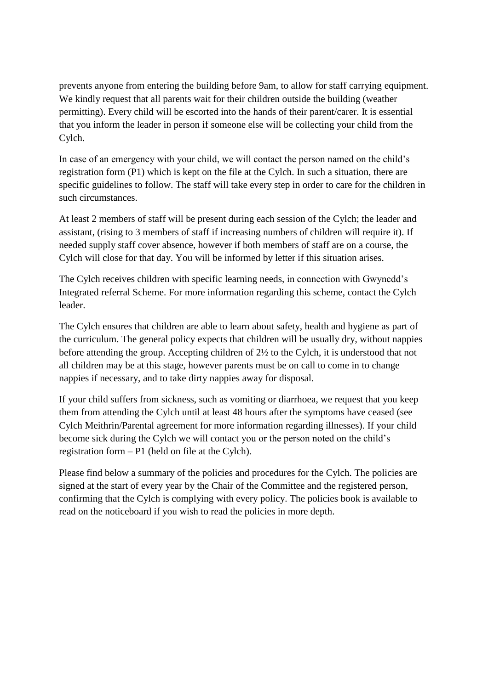prevents anyone from entering the building before 9am, to allow for staff carrying equipment. We kindly request that all parents wait for their children outside the building (weather permitting). Every child will be escorted into the hands of their parent/carer. It is essential that you inform the leader in person if someone else will be collecting your child from the Cylch.

In case of an emergency with your child, we will contact the person named on the child's registration form (P1) which is kept on the file at the Cylch. In such a situation, there are specific guidelines to follow. The staff will take every step in order to care for the children in such circumstances.

At least 2 members of staff will be present during each session of the Cylch; the leader and assistant, (rising to 3 members of staff if increasing numbers of children will require it). If needed supply staff cover absence, however if both members of staff are on a course, the Cylch will close for that day. You will be informed by letter if this situation arises.

The Cylch receives children with specific learning needs, in connection with Gwynedd's Integrated referral Scheme. For more information regarding this scheme, contact the Cylch leader.

The Cylch ensures that children are able to learn about safety, health and hygiene as part of the curriculum. The general policy expects that children will be usually dry, without nappies before attending the group. Accepting children of 2½ to the Cylch, it is understood that not all children may be at this stage, however parents must be on call to come in to change nappies if necessary, and to take dirty nappies away for disposal.

If your child suffers from sickness, such as vomiting or diarrhoea, we request that you keep them from attending the Cylch until at least 48 hours after the symptoms have ceased (see Cylch Meithrin/Parental agreement for more information regarding illnesses). If your child become sick during the Cylch we will contact you or the person noted on the child's registration form – P1 (held on file at the Cylch).

Please find below a summary of the policies and procedures for the Cylch. The policies are signed at the start of every year by the Chair of the Committee and the registered person, confirming that the Cylch is complying with every policy. The policies book is available to read on the noticeboard if you wish to read the policies in more depth.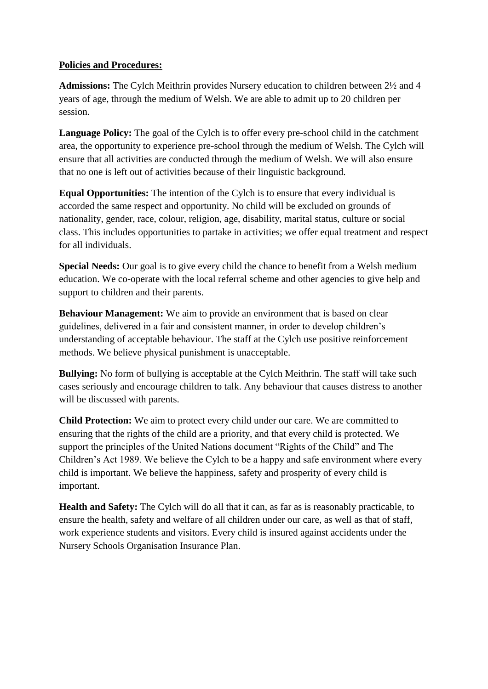## **Policies and Procedures:**

**Admissions:** The Cylch Meithrin provides Nursery education to children between 2½ and 4 years of age, through the medium of Welsh. We are able to admit up to 20 children per session.

Language Policy: The goal of the Cylch is to offer every pre-school child in the catchment area, the opportunity to experience pre-school through the medium of Welsh. The Cylch will ensure that all activities are conducted through the medium of Welsh. We will also ensure that no one is left out of activities because of their linguistic background.

**Equal Opportunities:** The intention of the Cylch is to ensure that every individual is accorded the same respect and opportunity. No child will be excluded on grounds of nationality, gender, race, colour, religion, age, disability, marital status, culture or social class. This includes opportunities to partake in activities; we offer equal treatment and respect for all individuals.

**Special Needs:** Our goal is to give every child the chance to benefit from a Welsh medium education. We co-operate with the local referral scheme and other agencies to give help and support to children and their parents.

**Behaviour Management:** We aim to provide an environment that is based on clear guidelines, delivered in a fair and consistent manner, in order to develop children's understanding of acceptable behaviour. The staff at the Cylch use positive reinforcement methods. We believe physical punishment is unacceptable.

**Bullying:** No form of bullying is acceptable at the Cylch Meithrin. The staff will take such cases seriously and encourage children to talk. Any behaviour that causes distress to another will be discussed with parents.

**Child Protection:** We aim to protect every child under our care. We are committed to ensuring that the rights of the child are a priority, and that every child is protected. We support the principles of the United Nations document "Rights of the Child" and The Children's Act 1989. We believe the Cylch to be a happy and safe environment where every child is important. We believe the happiness, safety and prosperity of every child is important.

**Health and Safety:** The Cylch will do all that it can, as far as is reasonably practicable, to ensure the health, safety and welfare of all children under our care, as well as that of staff, work experience students and visitors. Every child is insured against accidents under the Nursery Schools Organisation Insurance Plan.